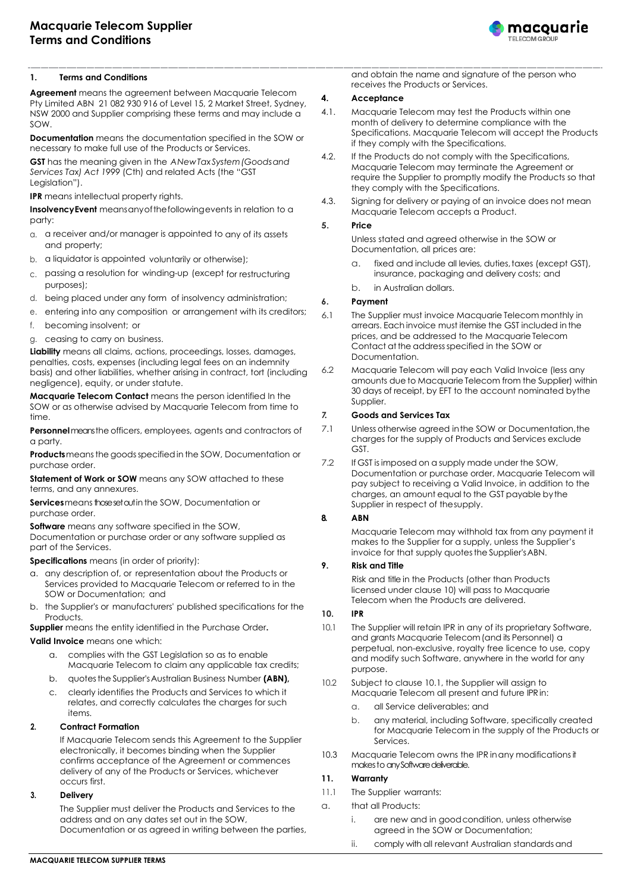

## **1. Terms and Conditions**

**Agreement** means the agreement between Macquarie Telecom Pty Limited ABN 21 082 930 916 of Level 15, 2 Market Street, Sydney, NSW 2000 and Supplier comprising these terms and may include a SOW.

**Documentation** means the documentation specified in the SOW or necessary to make full use of the Products or Services.

**GST** has the meaning given in the *ANewTaxSystem(Goodsand Services Tax) Act 1999* (Cth) and related Acts (the "GST Leaislation").

**IPR** means intellectual property rights.

**InsolvencyEvent** meansanyofthefollowingevents in relation to a party:

- a. a receiver and/or manager is appointed to any of its assets and property;
- b. a liquidator is appointed voluntarily or otherwise);
- c. passing a resolution for winding-up (except for restructuring purposes);
- d. being placed under any form of insolvency administration;
- e. entering into any composition or arrangement with its creditors;
- f. becoming insolvent; or
- g. ceasing to carry on business.

**Liability** means all claims, actions, proceedings, losses, damages, penalties, costs, expenses (including legal fees on an indemnity basis) and other liabilities, whether arising in contract, tort (including negligence), equity, or under statute.

**Macquarie Telecom Contact** means the person identified In the SOW or as otherwise advised by Macquarie Telecom from time to time.

**Personnel**meansthe officers, employees, agents and contractors of a party.

**Products**meansthe goodsspecifiedin the SOW, Documentation or purchase order.

**Statement of Work or SOW** means any SOW attached to these terms, and any annexures.

**Services** means those set out in the SOW, Documentation or purchase order.

**Software** means any software specified in the SOW, Documentation or purchase order or any software supplied as part of the Services.

**Specifications** means (in order of priority):

- a. any description of, or representation about the Products or Services provided to Macquarie Telecom or referred to in the SOW or Documentation; and
- b. the Supplier's or manufacturers' published specifications for the Products.

**Supplier** means the entity identified in the Purchase Order**.**

**Valid Invoice** means one which:

- a. complies with the GST Legislation so as to enable Macquarie Telecom to claim any applicable tax credits;
- b. quotesthe Supplier'sAustralian Business Number **(ABN),**
- clearly identifies the Products and Services to which it relates, and correctly calculates the charges for such items.

## **2. Contract Formation**

If Macquarie Telecom sends this Agreement to the Supplier electronically, it becomes binding when the Supplier confirms acceptance of the Agreement or commences delivery of any of the Products or Services, whichever occurs first.

#### **3. Delivery**

The Supplier must deliver the Products and Services to the address and on any dates set out in the SOW, Documentation or as agreed in writing between the parties, and obtain the name and signature of the person who receives the Products or Services.

#### **4. Acceptance**

- 4.1. Macquarie Telecom may test the Products within one month of delivery to determine compliance with the Specifications. Macquarie Telecom will accept the Products if they comply with the Specifications.
- 4.2. If the Products do not comply with the Specifications, Macquarie Telecom may terminate the Agreement or require the Supplier to promptly modify the Products so that they comply with the Specifications.
- 4.3. Signing for delivery or paying of an invoice does not mean Macquarie Telecom accepts a Product.

#### **5. Price**

Unless stated and agreed otherwise in the SOW or Documentation, all prices are:

- a. fixed and include all levies, duties,taxes (except GST), insurance, packaging and delivery costs; and
- b. in Australian dollars.

#### **6. Payment**

- 6.1 The Supplier must invoice Macquarie Telecom monthly in arrears. Each invoice must itemise the GST included inthe prices, and be addressed to the Macquarie Telecom Contact atthe addressspecified in the SOW or Documentation.
- 6.2 Macquarie Telecom will pay each Valid Invoice (less any amounts due to Macquarie Telecom from the Supplier) within 30 days of receipt, by EFT to the account nominated bythe Supplier.

## *7.* **Goods and Services Tax**

- 7.1 Unless otherwise agreed inthe SOW or Documentation,the charges for the supply of Products and Services exclude GST.
- 7.2 If GST is imposed on a supply made under the SOW, Documentation or purchase order, Macquarie Telecom will pay subject to receiving a Valid Invoice, in addition to the charges, an amount equal to the GST payable bythe Supplier in respect of thesupply.

#### **8. ABN**

Macquarie Telecom may withhold tax from any payment it makes to the Supplier for a supply, unless the Supplier's invoice for that supply quotes the Supplier's ABN.

## **9. Risk and Title**

Risk and title in the Products (other than Products licensed under clause 10) will pass to Macquarie Telecom when the Products are delivered.

#### **10. IPR**

- 10.1 The Supplier will retain IPR in any of its proprietary Software, and grants Macquarie Telecom(and its Personnel) a perpetual, non-exclusive, royalty free licence to use, copy and modify such Software, anywhere in the world for any purpose.
- 10.2 Subject to clause 10.1, the Supplier will assign to Macquarie Telecom all present and future IPR in:
	- a. all Service deliverables; and
	- b. any material, including Software, specifically created for Macquarie Telecom in the supply of the Products or Services.
- 10.3 Macquarie Telecom owns the IPR in any modifications it makes to any Software deliverable.

#### **11. Warranty**

- 11.1 The Supplier warrants:
- a. that all Products:
	- i. are new and in goodcondition, unless otherwise agreed in the SOW or Documentation;
		- ii. comply with all relevant Australian standards and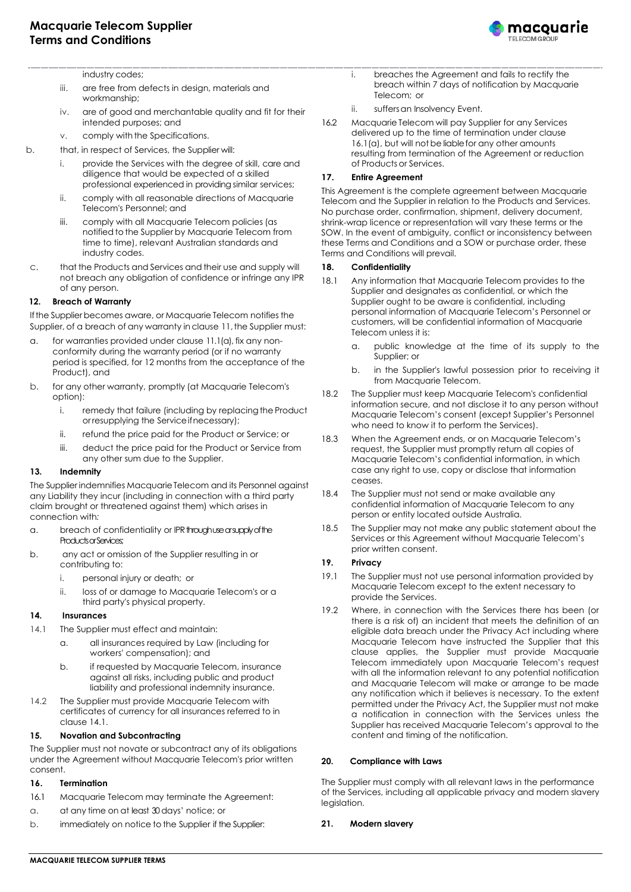

industry codes;

- iii. are free from defects in design, materials and workmanship;
- iv. are of good and merchantable quality and fit for their intended purposes; and
- v. comply with the Specifications.
- b. that, in respect of Services, the Supplier will:
	- i. provide the Services with the degree of skill, care and diligence that would be expected of a skilled professional experienced in providing similar services;
	- ii. comply with all reasonable directions of Macquarie Telecom's Personnel; and
	- iii. comply with all Macquarie Telecom policies (as notified to the Supplier by Macquarie Telecom from time to time), relevant Australian standards and industry codes.
- c. that the Products and Services and their use and supply will not breach any obligation of confidence or infringe any IPR of any person.

## **12. Breach of Warranty**

Ifthe Supplier becomes aware, or Macquarie Telecom notifies the Supplier, of a breach of any warranty in clause 11, the Supplier must:

- a. for warranties provided under clause 11.1(a), fix any nonconformity during the warranty period (or if no warranty period is specified, for 12 months from the acceptance of the Product), and
- b. for any other warranty, promptly (at Macquarie Telecom's option):
	- i. remedy that failure (including by replacing the Product orresupplying the Serviceifnecessary);
	- ii. refund the price paid for the Product or Service; or
	- iii. deduct the price paid for the Product or Service from any other sum due to the Supplier.

#### **13. Indemnity**

The Supplier indemnifies Macquarie Telecom and its Personnel against any Liability they incur (including in connection with a third party claim brought or threatened against them) which arises in connection with*:*

- a. breach of confidentiality or IPR through use or supply of the Products or Services;
- b. any act or omission of the Supplier resulting in or contributing to:
	- i. personal injury or death; or
	- ii. loss of or damage to Macquarie Telecom's or a third party's physical property.

#### **14. Insurances**

- 14.1 The Supplier must effect and maintain:
	- a. all insurances required by Law (including for workers' compensation); and
	- b. if requested by Macquarie Telecom, insurance against all risks, including public and product liability and professional indemnity insurance.
- 14.2 The Supplier must provide Macquarie Telecom with certificates of currency for all insurances referred to in clause 14.1.

#### **15. Novation and Subcontracting**

The Supplier must not novate or subcontract any of its obligations under the Agreement without Macquarie Telecom's prior written consent.

#### **16. Termination**

- 16.1 Macquarie Telecom may terminate the Agreement:
- a. at any time on at least 30 days' notice; or
- b. immediately on notice to the Supplier if the Supplier:
- i. breaches the Agreement and fails to rectify the breach within 7 days of notification by Macquarie Telecom; or
- ii. suffers an Insolvency Event.
- 16.2 Macquarie Telecom will pay Supplier for any Services delivered up to the time of termination under clause 16.1(a), but will not be liablefor any other amounts resulting from termination of the Agreement or reduction of Products or Services.

## **17. Entire Agreement**

This Agreement is the complete agreement between Macquarie Telecom and the Supplier in relation to the Products and Services. No purchase order, confirmation, shipment, delivery document, shrink-wrap licence or representation will vary these terms or the SOW. In the event of ambiguity, conflict or inconsistency between these Terms and Conditions and a SOW or purchase order, these Terms and Conditions will prevail.

#### **18. Confidentiality**

- 18.1 Any information that Macquarie Telecom provides to the Supplier and designates as confidential, or which the Supplier ought to be aware is confidential, including personal information of Macquarie Telecom's Personnel or customers, will be confidential information of Macquarie Telecom unless it is:
	- a. public knowledge at the time of its supply to the Supplier; or
	- b. in the Supplier's lawful possession prior to receiving it from Macquarie Telecom.
- 18.2 The Supplier must keep Macquarie Telecom's confidential information secure, and not disclose it to any person without Macquarie Telecom's consent (except Supplier's Personnel who need to know it to perform the Services).
- 18.3 When the Agreement ends, or on Macquarie Telecom's request, the Supplier must promptly return all copies of Macquarie Telecom's confidential information, in which case any right to use, copy or disclose that information ceases.
- 18.4 The Supplier must not send or make available any confidential information of Macquarie Telecom to any person or entity located outside Australia.
- 18.5 The Supplier may not make any public statement about the Services or this Agreement without Macquarie Telecom's prior written consent.

## **19. Privacy**

- 19.1 The Supplier must not use personal information provided by Macquarie Telecom except to the extent necessary to provide the Services.
- 19.2 Where, in connection with the Services there has been (or there is a risk of) an incident that meets the definition of an eligible data breach under the Privacy Act including where Macquarie Telecom have instructed the Supplier that this clause applies, the Supplier must provide Macquarie Telecom immediately upon Macquarie Telecom's request with all the information relevant to any potential notification and Macquarie Telecom will make or arrange to be made any notification which it believes is necessary. To the extent permitted under the Privacy Act, the Supplier must not make a notification in connection with the Services unless the Supplier has received Macquarie Telecom's approval to the content and timing of the notification.

#### **20. Compliance with Laws**

The Supplier must comply with all relevant laws in the performance of the Services, including all applicable privacy and modern slavery legislation.

#### **21. Modern slavery**